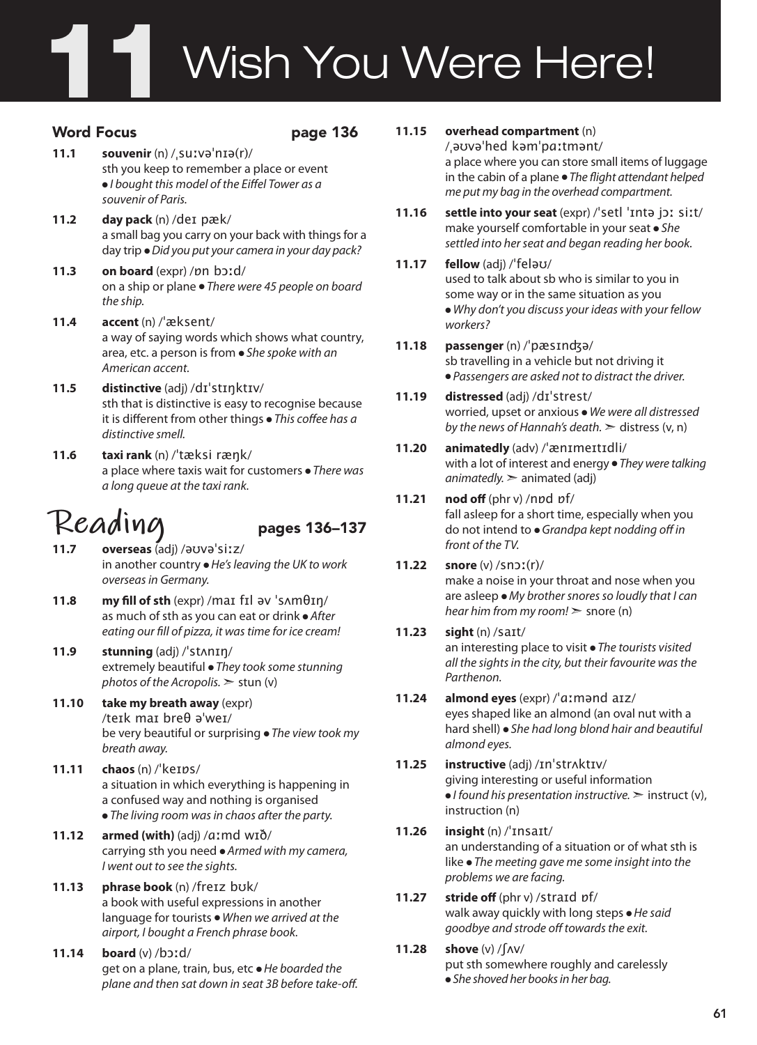# Wish You Were Here! 11

### Word Focus **page 136**

- **11.1 souvenir** (n) /ˌsuːvəˈnɪə(r)/ sth you keep to remember a place or event ● *I bought this model of the Eiffel Tower as a souvenir of Paris.*
- **11.2 day pack** (n) /deɪ pæk/ a small bag you carry on your back with things for a day trip ● *Did you put your camera in your day pack?*
- **11.3 on board** (expr) /ɒn bɔːd/ on a ship or plane ● *There were 45 people on board the ship.*
- **11.4 accent** (n) /ˈæksent/ a way of saying words which shows what country, area, etc. a person is from ● *She spoke with an American accent.*
- **11.5 distinctive** (adj) /dɪˈstɪŋktɪv/ sth that is distinctive is easy to recognise because it is different from other things ● *This coffee has a distinctive smell.*
- **11.6 taxi rank** (n) /ˈtæksi ræŋk/ a place where taxis wait for customers ● *There was a long queue at the taxi rank.*

# Reading<br>11.7 overseas (adi) /əʊvəˈsiːz/

- **11.7 overseas** (adj) /əʊvəˈsiːz/ in another country ● *He's leaving the UK to work overseas in Germany.*
- **11.8 my fill of sth** (expr) /maɪ fɪl əv ˈsʌmθɪŋ/ as much of sth as you can eat or drink ● *After eating our fill of pizza, it was time for ice cream!*
- **11.9 stunning** (adj) /ˈstʌnɪŋ/ extremely beautiful ● *They took some stunning photos of the Acropolis.* ➣ stun (v)
- **11.10 take my breath away** (expr) /teɪk maɪ breθ əˈweɪ/ be very beautiful or surprising ● *The view took my breath away.*
- **11.11 chaos** (n) /ˈkeɪɒs/ a situation in which everything is happening in a confused way and nothing is organised ● *The living room was in chaos after the party.*
- **11.12 armed (with)** (adj) /ɑːmd wɪð/ carrying sth you need ● *Armed with my camera, I went out to see the sights.*
- **11.13 phrase book** (n) /freɪz bʊk/ a book with useful expressions in another language for tourists ● *When we arrived at the airport, I bought a French phrase book.*
- **11.14 board** (v) /bɔːd/ get on a plane, train, bus, etc ● *He boarded the plane and then sat down in seat 3B before take-off.*
- **11.15 overhead compartment** (n) /ˌəʊvəˈhed kəmˈpɑːtmənt/ a place where you can store small items of luggage in the cabin of a plane ● *The flight attendant helped me put my bag in the overhead compartment.*
- **11.16 settle into your seat** (expr) /ˈsetl ˈɪntə jɔː siːt/ make yourself comfortable in your seat ● *She settled into her seat and began reading her book.*

### **11.17 fellow** (adj) /ˈfeləʊ/ used to talk about sb who is similar to you in

some way or in the same situation as you ● *Why don't you discuss your ideas with your fellow workers?* 

**11.18 passenger** (n) /ˈpæsɪnʤə/ sb travelling in a vehicle but not driving it ● *Passengers are asked not to distract the driver.* 

### **11.19 distressed** (adj) /dɪˈstrest/ worried, upset or anxious ● *We were all distressed by the news of Hannah's death.* ➣ distress (v, n)

**11.20 animatedly** (adv) /ˈænɪmeɪtɪdli/ with a lot of interest and energy ● *They were talking animatedly.* ➣ animated (adj)

### **11.21 nod off** (phr v) /nɒd ɒf/ fall asleep for a short time, especially when you do not intend to ● *Grandpa kept nodding off in front of the TV.*

### **11.22 snore** (v) /snɔː(r)/ make a noise in your throat and nose when you are asleep ● *My brother snores so loudly that I can hear him from my room!* ➣ snore (n)

#### **11.23 sight** (n) /saɪt/ an interesting place to visit ● *The tourists visited all the sights in the city, but their favourite was the Parthenon.*

- **11.24 almond eyes** (expr) /ˈɑːmənd aɪz/ eyes shaped like an almond (an oval nut with a hard shell) ● *She had long blond hair and beautiful almond eyes.*
- **11.25 instructive** (adj) /ɪnˈstrʌktɪv/ giving interesting or useful information ● *I found his presentation instructive.* ➣ instruct (v), instruction (n)
- **11.26 insight** (n) /ˈɪnsaɪt/ an understanding of a situation or of what sth is like ● *The meeting gave me some insight into the problems we are facing.*
- **11.27 stride off** (phr v) /straɪd ɒf/ walk away quickly with long steps ● *He said goodbye and strode off towards the exit.*
- **11.28 shove** (v) /ʃʌv/ put sth somewhere roughly and carelessly ● *She shoved her books in her bag.*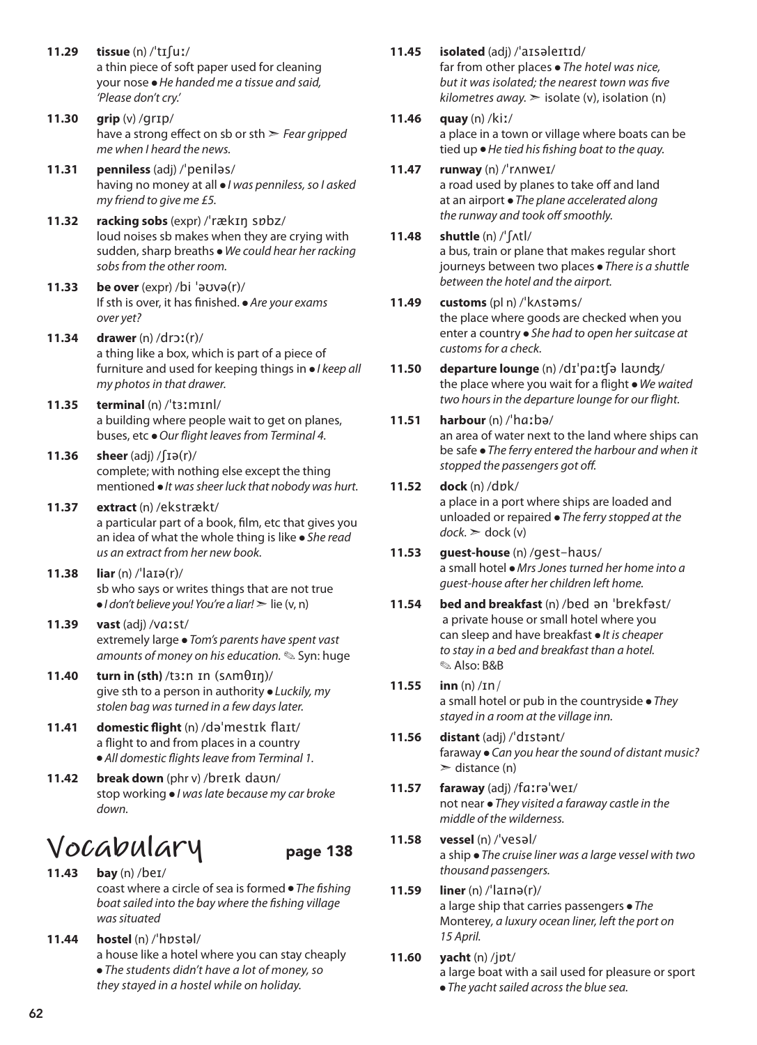- **11.29 tissue** (n) /ˈtɪʃuː/ a thin piece of soft paper used for cleaning your nose ● *He handed me a tissue and said, 'Please don't cry.'*
- **11.30 grip** (v) /ɡrɪp/ have a strong effect on sb or sth ➣ *Fear gripped me when I heard the news.*
- **11.31 penniless** (adj) /ˈpeniləs/ having no money at all ● *I was penniless, so I asked my friend to give me £5.*
- **11.32 racking sobs** (expr) /ˈrækɪŋ sɒbz/ loud noises sb makes when they are crying with sudden, sharp breaths ● *We could hear her racking sobs from the other room.*
- **11.33 be over** (expr) /bi ˈəʊvə(r)/ If sth is over, it has finished. ● *Are your exams over yet?*
- **11.34 drawer** (n) /drɔː(r)/ a thing like a box, which is part of a piece of furniture and used for keeping things in ● *I keep all my photos in that drawer.*
- **11.35 terminal** (n) /ˈtɜːmɪnl/ a building where people wait to get on planes, buses, etc ● *Our flight leaves from Terminal 4.*
- **11.36 sheer**  $\left(\text{adj}\right) / \left(\text{Id}(r)\right)$ complete; with nothing else except the thing mentioned ● *It was sheer luck that nobody was hurt.*
- **11.37 extract** (n) /ekstrækt/ a particular part of a book, film, etc that gives you an idea of what the whole thing is like ● *She read us an extract from her new book.*
- **11.38 liar** (n) /ˈlaɪə(r)/ sb who says or writes things that are not true ● *I don't believe you! You're a liar!* ➣ lie (v, n)
- **11.39 vast** (adj) /vɑːst/ extremely large ● *Tom's parents have spent vast amounts of money on his education.* ✎ Syn: huge
- **11.40 turn in (sth)** /tɜːn ɪn (sʌmθɪŋ)/ give sth to a person in authority ● *Luckily, my stolen bag was turned in a few days later.*
- **11.41 domestic flight** (n) /dəˈmestɪk flaɪt/ a flight to and from places in a country ● *All domestic flights leave from Terminal 1.*
- **11.42 break down** (phr v) /breɪk daʊn/ stop working ● *I was late because my car broke down.*

### **Vocabulary** page 138

- **11.43 bay** (n) /beɪ/ coast where a circle of sea is formed ● *The fishing boat sailed into the bay where the fishing village was situated*
- **11.44 hostel** (n) /ˈhɒstəl/ a house like a hotel where you can stay cheaply ● *The students didn't have a lot of money, so they stayed in a hostel while on holiday.*
- **11.45 isolated** (adj) /ˈaɪsəleɪtɪd/ far from other places ● *The hotel was nice, but it was isolated; the nearest town was five*   $kilometers$  *away.*  $\geq$  *isolate (v), isolation (n)*
- **11.46 quay** (n) /kiː/

a place in a town or village where boats can be tied up ● *He tied his fishing boat to the quay.*

- **11.47 runway** (n) /ˈrʌnweɪ/ a road used by planes to take off and land at an airport ● *The plane accelerated along the runway and took off smoothly.*
- **11.48 shuttle** (n) /ˈʃʌtl/ a bus, train or plane that makes regular short journeys between two places ● *There is a shuttle between the hotel and the airport.*

### **11.49 customs** (pl n) /ˈkʌstəms/

the place where goods are checked when you enter a country ● *She had to open her suitcase at customs for a check.*

- **11.50 departure lounge** (n) /dɪˈpɑːʧə laʊnʤ/ the place where you wait for a flight ● *We waited two hours in the departure lounge for our flight.*
- **11.51 harbour** (n) /ˈhɑːbə/ an area of water next to the land where ships can be safe ● *The ferry entered the harbour and when it*

### *stopped the passengers got off.*  **11.52 dock** (n) /dɒk/

a place in a port where ships are loaded and unloaded or repaired ● *The ferry stopped at the*   $d$ ock.  $\geq$  dock (v)

- **11.53 guest-house** (n) /gest-haʊs/ a small hotel ● *Mrs Jones turned her home into a guest-house after her children left home.*
- **11.54 bed and breakfast** (n) /bed ən ˈbrekfəst/ a private house or small hotel where you can sleep and have breakfast ● *It is cheaper to stay in a bed and breakfast than a hotel.*  ✎ Also: B&B
- **11.55 inn** (n) /ɪn/ a small hotel or pub in the countryside ● *They stayed in a room at the village inn.*
- **11.56 distant** (adj) /ˈdɪstənt/ faraway ● *Can you hear the sound of distant music?*   $\ge$  distance (n)
- **11.57 faraway** (adj) /fɑːrəˈweɪ/ not near ● *They visited a faraway castle in the middle of the wilderness.*
- **11.58 vessel** (n) /ˈvesəl/ a ship ● *The cruise liner was a large vessel with two thousand passengers.*
- **11.59 liner** (n) /ˈlaɪnə(r)/ a large ship that carries passengers ● *The*  Monterey*, a luxury ocean liner, left the port on 15 April.*
- **11.60 yacht** (n) /jɒt/ a large boat with a sail used for pleasure or sport ● *The yacht sailed across the blue sea.*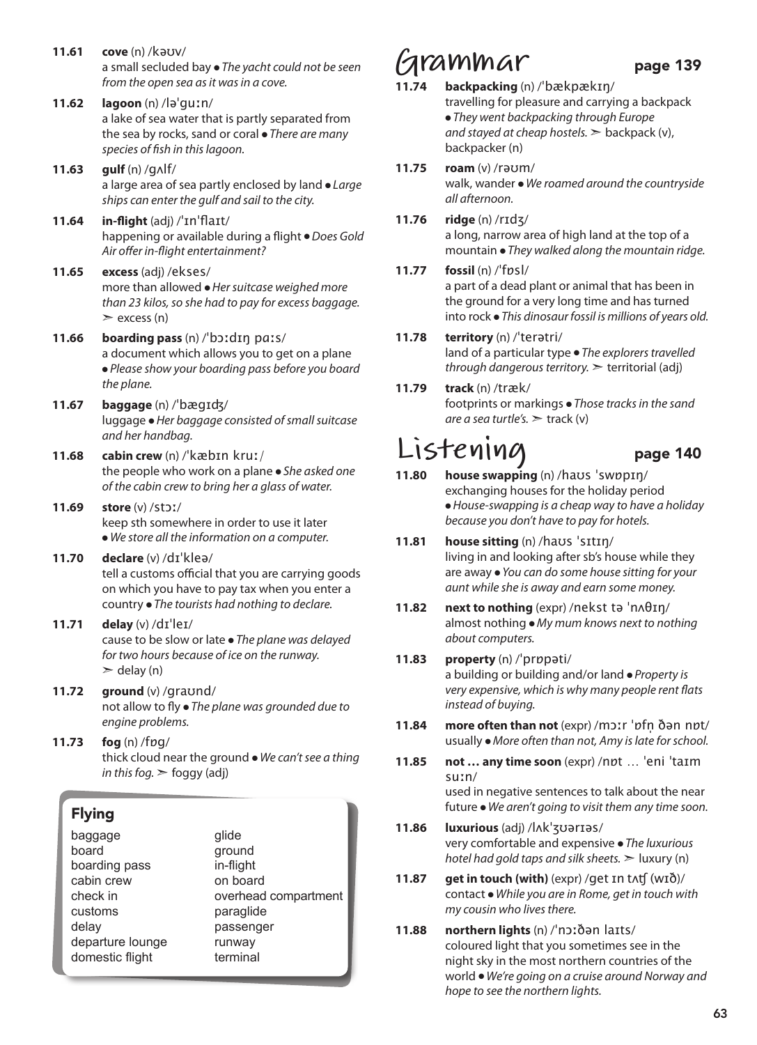**11.61 cove** (n) /kəʊv/ a small secluded bay ● *The yacht could not be seen from the open sea as it was in a cove.* **11.62 lagoon** (n) /ləˈguːn/ a lake of sea water that is partly separated from the sea by rocks, sand or coral ● *There are many species of fish in this lagoon.*  **11.63 gulf** (n) /gʌlf/ a large area of sea partly enclosed by land ● *Large ships can enter the gulf and sail to the city.*  **11.64 in-flight** (adj) /ˈɪnˈflaɪt/ happening or available during a flight ● *Does Gold Air offer in-flight entertainment?* **11.65 excess** (adj) /ekses/ more than allowed ● *Her suitcase weighed more than 23 kilos, so she had to pay for excess baggage.*   $\ge$  excess (n) **11.66 boarding pass** (n) /ˈbɔːdɪŋ pɑːs/ a document which allows you to get on a plane ● *Please show your boarding pass before you board the plane.* **11.67 baggage** (n) /ˈbægɪʤ/ luggage ● *Her baggage consisted of small suitcase and her handbag.*  **11.68 cabin crew** (n) /ˈkæbɪn kruː/ the people who work on a plane ● *She asked one of the cabin crew to bring her a glass of water.*  **11.69 store** (v) /stɔː/ keep sth somewhere in order to use it later ● *We store all the information on a computer.*  **11.70 declare** (v) /dɪˈkleə/ tell a customs official that you are carrying goods on which you have to pay tax when you enter a country ● *The tourists had nothing to declare.*  **11.71 delay** (v) /dɪˈleɪ/ cause to be slow or late ● *The plane was delayed for two hours because of ice on the runway.*   $\ge$  delay (n) **11.72 ground** (v) /graʊnd/ not allow to fly ● *The plane was grounded due to engine problems.*  **11.73 fog** (n) /fɒg/ thick cloud near the ground ● *We can't see a thing in this fog.* ➣ foggy (adj) Flying baggage board boarding pass cabin crew check in glide ground in-flight on board overhead compartment

> paraglide passenger runway terminal

customs delay

departure lounge domestic flight

## **Grammar** page 139<br>11.74 backpacking (n) /'hæknækrn/

- **11.74 backpacking** (n) /ˈbækpækɪŋ/ travelling for pleasure and carrying a backpack ● *They went backpacking through Europe and stayed at cheap hostels.* ➣ backpack (v), backpacker (n)
- **11.75 roam** (v) /rəʊm/ walk, wander ● *We roamed around the countryside all afternoon.*
- **11.76 ridge** (n) /rɪdʒ/ a long, narrow area of high land at the top of a mountain ● *They walked along the mountain ridge.*

### **11.77 fossil** (n) /ˈfɒsl/

a part of a dead plant or animal that has been in the ground for a very long time and has turned into rock ● *This dinosaur fossil is millions of years old.*

### **11.78 territory** (n) /ˈterətri/

land of a particular type ● *The explorers travelled through dangerous territory.* ➣ territorial (adj)

**11.79 track** (n) /træk/ footprints or markings ● *Those tracks in the sand are a sea turtle's.* ➣ track (v)

## $L$ **i** $Sten$ **ing**<br>11.80 house swapping (n) /havs 'swppin/

- **11.80 house swapping** (n) /haʊs ˈswɒpɪŋ/ exchanging houses for the holiday period ● *House-swapping is a cheap way to have a holiday because you don't have to pay for hotels.*
- **11.81 house sitting** (n) /haʊs ˈsɪtɪŋ/ living in and looking after sb's house while they are away ● *You can do some house sitting for your aunt while she is away and earn some money.*
- **11.82 next to nothing** (expr) /nekst tə ˈnʌθɪŋ/ almost nothing ● *My mum knows next to nothing about computers.*

#### **11.83 property** (n) /ˈprɒpəti/ a building or building and/or land ● *Property is very expensive, which is why many people rent flats instead of buying.*

- **11.84 more often than not** (expr) /mɔːr ˈɒfn̩ ðən nɒt/ usually ● *More often than not, Amy is late for school.*
- **11.85 not … any time soon** (expr) /nɒt … ˈeni ˈtaɪm suːn/ used in negative sentences to talk about the near future ● *We aren't going to visit them any time soon.*
- **11.86 luxurious** (adj) /lʌkˈʒʊərɪəs/ very comfortable and expensive ● *The luxurious hotel had gold taps and silk sheets.* ➣ luxury (n)
- **11.87 get in touch (with)** (expr) /get ɪn tʌʧ (wɪð)/ contact ● *While you are in Rome, get in touch with my cousin who lives there.*
- **11.88 northern lights** (n) /ˈnɔːðən laɪts/ coloured light that you sometimes see in the night sky in the most northern countries of the world ● *We're going on a cruise around Norway and hope to see the northern lights.*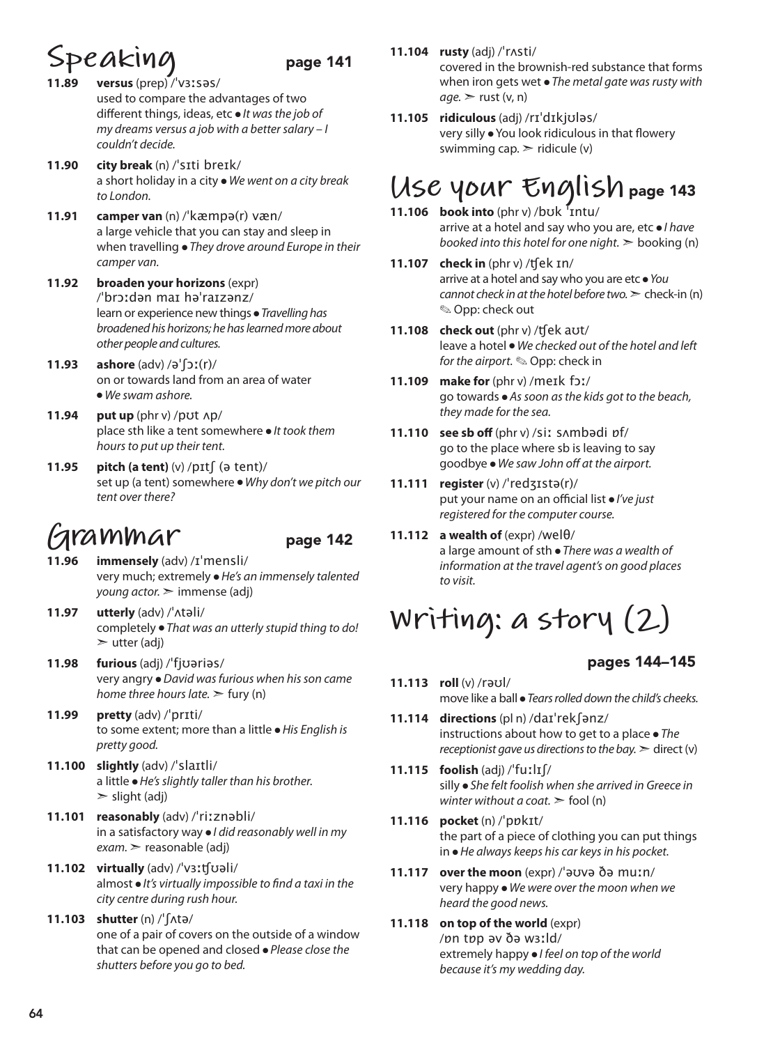### **Speaking** page 141

- **11.89 versus** (prep) /ˈvɜːsəs/ used to compare the advantages of two different things, ideas, etc ● *It was the job of my dreams versus a job with a better salary – I couldn't decide.*
- **11.90 city break** (n) /ˈsɪti breɪk/ a short holiday in a city ● *We went on a city break to London.*
- **11.91 camper van** (n) /ˈkæmpə(r) væn/ a large vehicle that you can stay and sleep in when travelling ● *They drove around Europe in their camper van.*
- **11.92 broaden your horizons** (expr) /ˈbrɔːdən maɪ həˈraɪzənz/ learn or experience new things ● *Travelling has broadened his horizons; he has learned more about other people and cultures.*
- **11.93 ashore** (adv) /əˈʃɔː(r)/ on or towards land from an area of water ● *We swam ashore.*
- **11.94 put up** (phr v) /pʊt ʌp/ place sth like a tent somewhere ● *It took them hours to put up their tent.*
- **11.95 pitch (a tent)** (v) /pɪtʃ (ə tent)/ set up (a tent) somewhere ● *Why don't we pitch our tent over there?*

## **Grammar** page 142

- **11.96 immensely** (adv) /ɪˈmensli/ very much; extremely ● *He's an immensely talented young actor.* ➣ immense (adj)
- **11.97 utterly** (adv) /ˈʌtəli/ completely ● *That was an utterly stupid thing to do!*  $\triangleright$  utter (adj)
- **11.98 furious** (adj) /ˈfjʊəriəs/ very angry ● *David was furious when his son came home three hours late.*  $\geq$  fury (n)
- **11.99 pretty** (adv) /ˈprɪti/ to some extent; more than a little ● *His English is pretty good.*
- **11.100 slightly** (adv) /ˈslaɪtli/ a little ● *He's slightly taller than his brother.*   $\ge$  slight (adj)
- **11.101 reasonably** (adv) /ˈriːznəbli/ in a satisfactory way ● *I did reasonably well in my exam.* ➣ reasonable (adj)
- **11.102 virtually** (adv) /ˈvɜːʧʊəli/ almost ● *It's virtually impossible to find a taxi in the city centre during rush hour.*
- **11.103 shutter** (n) /ˈʃʌtə/ one of a pair of covers on the outside of a window that can be opened and closed ● *Please close the shutters before you go to bed.*

**11.104 rusty** (adj) /ˈrʌsti/

covered in the brownish-red substance that forms when iron gets wet ● *The metal gate was rusty with*   $age.$   $\ge$  rust (v, n)

**11.105 ridiculous** (adj) /rɪˈdɪkjʊləs/ very silly ● You look ridiculous in that flowery swimming cap.  $\geq$  ridicule (y)

## **Use your English** page 143

- **11.106 book into** (phr v) /bʊk ˈɪntu/ arrive at a hotel and say who you are, etc ● *I have booked into this hotel for one night.* ➣ booking (n)
- **11.107 check in** (phr v) /ʧek ɪn/ arrive at a hotel and say who you are etc ● *You cannot check in at the hotel before two.*  $\geq$  check-in (n) ✎ Opp: check out
- **11.108 check out** (phr v) /ʧek aʊt/ leave a hotel ● *We checked out of the hotel and left for the airport.* ✎ Opp: check in
- **11.109 make for** (phr v) /meɪk fɔː/ go towards ● *As soon as the kids got to the beach, they made for the sea.*
- **11.110 see sb off** (phr v) /siː sʌmbədi ɒf/ go to the place where sb is leaving to say goodbye ● *We saw John off at the airport.*
- **11.111 register** (v) /ˈredʒɪstə(r)/ put your name on an official list ● *I've just registered for the computer course.*
- **11.112 a wealth of** (expr) /welθ/ a large amount of sth ● *There was a wealth of information at the travel agent's on good places to visit.*

## **Writing: a story (2)**

### pages 144–145

- **11.113 roll** (v) /rəʊl/ move like a ball ● *Tears rolled down the child's cheeks.*
- **11.114 directions** (pl n) /daɪˈrekʃənz/ instructions about how to get to a place ● *The receptionist gave us directions to the bay.*  $\geq$  direct (v)
- **11.115 foolish** (adj) /ˈfuːlɪʃ/ silly ● *She felt foolish when she arrived in Greece in winter without a coat.*  $\geq$  fool (n)
- **11.116 pocket** (n) /ˈpɒkɪt/ the part of a piece of clothing you can put things in ● *He always keeps his car keys in his pocket.*
- **11.117 over the moon** (expr) /ˈəʊvə ðə muːn/ very happy ● *We were over the moon when we heard the good news.*
- **11.118 on top of the world** (expr) /ɒn tɒp əv ðə wɜːld/ extremely happy ● *I feel on top of the world because it's my wedding day.*